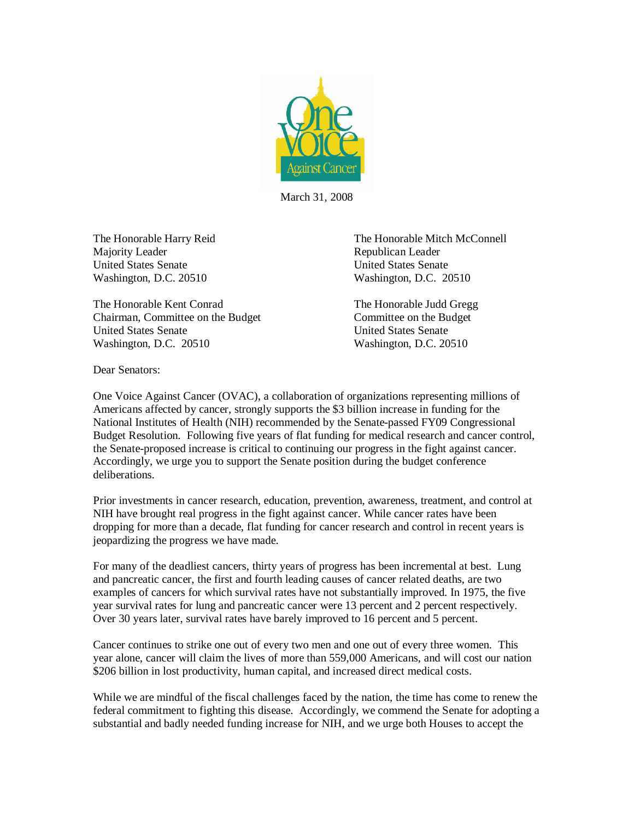

March 31, 2008

Majority Leader **Republican Leader** Republican Leader United States Senate United States Senate Washington, D.C. 20510 Washington, D.C. 20510

The Honorable Kent Conrad The Honorable Judd Gregg Chairman, Committee on the Budget Committee on the Budget United States Senate United States Senate Washington, D.C. 20510 Washington, D.C. 20510

The Honorable Harry Reid The Honorable Mitch McConnell

Dear Senators:

One Voice Against Cancer (OVAC), a collaboration of organizations representing millions of Americans affected by cancer, strongly supports the \$3 billion increase in funding for the National Institutes of Health (NIH) recommended by the Senate-passed FY09 Congressional Budget Resolution. Following five years of flat funding for medical research and cancer control, the Senate-proposed increase is critical to continuing our progress in the fight against cancer. Accordingly, we urge you to support the Senate position during the budget conference deliberations.

Prior investments in cancer research, education, prevention, awareness, treatment, and control at NIH have brought real progress in the fight against cancer. While cancer rates have been dropping for more than a decade, flat funding for cancer research and control in recent years is jeopardizing the progress we have made.

For many of the deadliest cancers, thirty years of progress has been incremental at best. Lung and pancreatic cancer, the first and fourth leading causes of cancer related deaths, are two examples of cancers for which survival rates have not substantially improved. In 1975, the five year survival rates for lung and pancreatic cancer were 13 percent and 2 percent respectively. Over 30 years later, survival rates have barely improved to 16 percent and 5 percent.

Cancer continues to strike one out of every two men and one out of every three women. This year alone, cancer will claim the lives of more than 559,000 Americans, and will cost our nation \$206 billion in lost productivity, human capital, and increased direct medical costs.

While we are mindful of the fiscal challenges faced by the nation, the time has come to renew the federal commitment to fighting this disease. Accordingly, we commend the Senate for adopting a substantial and badly needed funding increase for NIH, and we urge both Houses to accept the